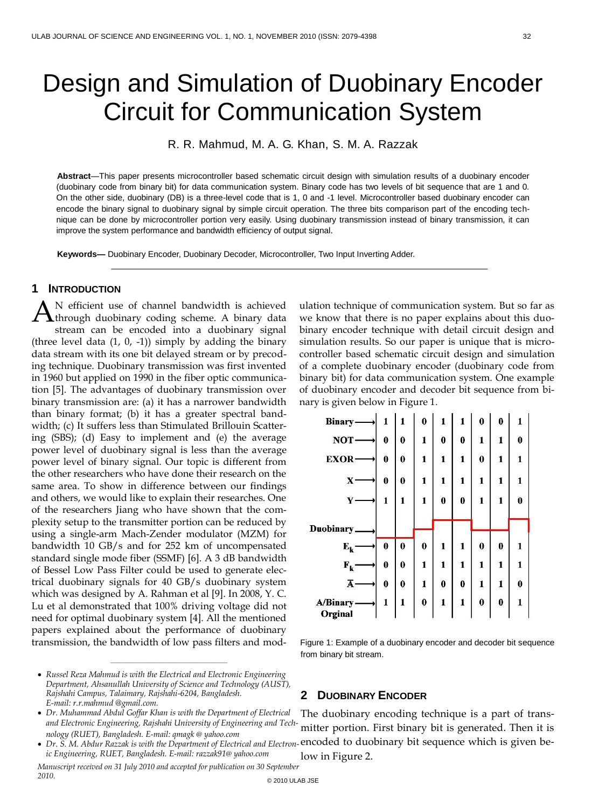# Design and Simulation of Duobinary Encoder Circuit for Communication System

R. R. Mahmud, M. A. G. Khan, S. M. A. Razzak

**Abstract**—This paper presents microcontroller based schematic circuit design with simulation results of a duobinary encoder (duobinary code from binary bit) for data communication system. Binary code has two levels of bit sequence that are 1 and 0. On the other side, duobinary (DB) is a three-level code that is 1, 0 and -1 level. Microcontroller based duobinary encoder can encode the binary signal to duobinary signal by simple circuit operation. The three bits comparison part of the encoding technique can be done by microcontroller portion very easily. Using duobinary transmission instead of binary transmission, it can improve the system performance and bandwidth efficiency of output signal.

**Keywords—** Duobinary Encoder, Duobinary Decoder, Microcontroller, Two Input Inverting Adder.

## **1 INTRODUCTION**

N efficient use of channel bandwidth is achieved A N efficient use of channel bandwidth is achieved<br>through duobinary coding scheme. A binary data stream can be encoded into a duobinary signal (three level data  $(1, 0, -1)$ ) simply by adding the binary data stream with its one bit delayed stream or by precoding technique. Duobinary transmission was first invented in 1960 but applied on 1990 in the fiber optic communication [5]. The advantages of duobinary transmission over binary transmission are: (a) it has a narrower bandwidth than binary format; (b) it has a greater spectral bandwidth; (c) It suffers less than Stimulated Brillouin Scattering (SBS); (d) Easy to implement and (e) the average power level of duobinary signal is less than the average power level of binary signal. Our topic is different from the other researchers who have done their research on the same area. To show in difference between our findings and others, we would like to explain their researches. One of the researchers Jiang who have shown that the complexity setup to the transmitter portion can be reduced by using a single-arm Mach-Zender modulator (MZM) for bandwidth 10 GB/s and for 252 km of uncompensated standard single mode fiber (SSMF) [6]. A 3 dB bandwidth of Bessel Low Pass Filter could be used to generate electrical duobinary signals for 40 GB/s duobinary system which was designed by A. Rahman et al [9]. In 2008, Y. C. Lu et al demonstrated that 100% driving voltage did not need for optimal duobinary system [4]. All the mentioned papers explained about the performance of duobinary transmission, the bandwidth of low pass filters and mod-

 *Russel Reza Mahmud is with the Electrical and Electronic Engineering Department, Ahsanullah University of Science and Technology (AUST), Rajshahi Campus, Talaimary, Rajshahi-6204, Bangladesh. E-mail: r.r.mahmud @gmail.com.*

————————————————

 *Dr. Muhammad Abdul Goffar Khan is with the Department of Electrical and Electronic Engineering, Rajshahi University of Engineering and Technology (RUET), Bangladesh. E-mail: qmagk @ [yahoo.com](mailto:qmagk@yahoo.com)*

*ic Engineering, RUET, Bangladesh. E-mail: [razzak91@](mailto:razzak91@yahoo.com) yahoo.com*

ulation technique of communication system. But so far as we know that there is no paper explains about this duobinary encoder technique with detail circuit design and simulation results. So our paper is unique that is microcontroller based schematic circuit design and simulation of a complete duobinary encoder (duobinary code from binary bit) for data communication system. One example of duobinary encoder and decoder bit sequence from binary is given below in Figure 1.

| <b>Binary</b>           |          | 1        | $\bf{0}$ |          |          | 0        | 0        | 1        |  |
|-------------------------|----------|----------|----------|----------|----------|----------|----------|----------|--|
| <b>NOT</b>              | $\bf{0}$ | $\bf{0}$ | 1        | $\bf{0}$ | $\bf{0}$ | 1        | 1        | 0        |  |
| <b>EXOR</b>             | $\bf{0}$ | $\bf{0}$ | 1        | 1        | 1        | $\bf{0}$ | 1        | 1        |  |
| X                       | $\bf{0}$ | $\bf{0}$ | 1        | 1        | 1        | 1        | 1        | 1        |  |
| $\mathbf{Y}$            | 1        | 1        | 1        | 0        | 0        | 1        | 1        | 0        |  |
|                         |          |          |          |          |          |          |          |          |  |
| Duobinary.              |          |          |          |          |          |          |          |          |  |
| $\mathbf{E}_\mathbf{k}$ | $\bf{0}$ | $\bf{0}$ | $\bf{0}$ | 1        | 1        | $\bf{0}$ | $\bf{0}$ | 1        |  |
| $F_k$                   | $\bf{0}$ | $\bf{0}$ | 1        | 1        | 1        | 1        | 1        | 1        |  |
| Ā                       | $\bf{0}$ | $\bf{0}$ | 1        | $\bf{0}$ | $\bf{0}$ | 1        | 1        | $\bf{0}$ |  |
| A/Binary-<br>Orginal    | 1        | 1        | $\bf{0}$ | 1        | 1        | $\bf{0}$ | $\bf{0}$ | 1        |  |

Figure 1: Example of a duobinary encoder and decoder bit sequence from binary bit stream.

# **2 DUOBINARY ENCODER**

The duobinary encoding technique is a part of transmitter portion. First binary bit is generated. Then it is • Dr. S. M. Abdur Razzak is with the Department of Electrical and Electron-encoded to duobinary bit sequence which is given below in Figure 2.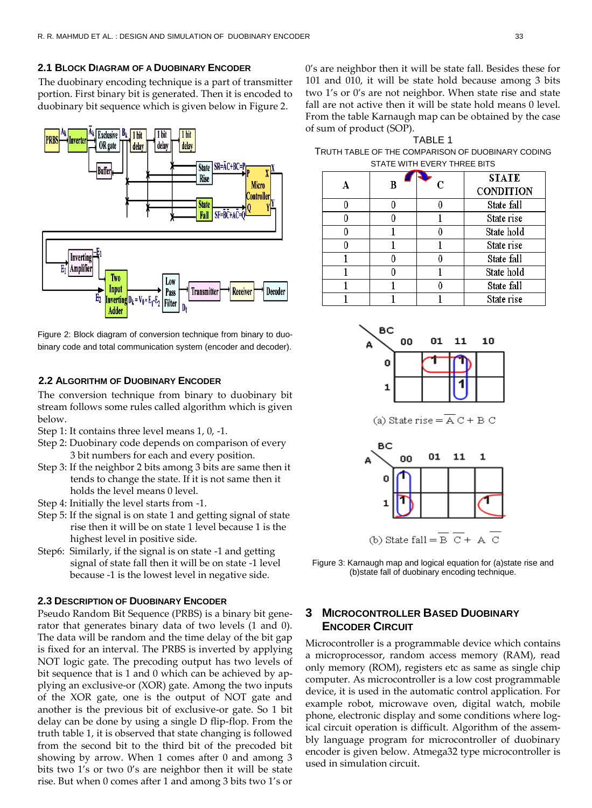#### **2.1 BLOCK DIAGRAM OF A DUOBINARY ENCODER**

The duobinary encoding technique is a part of transmitter portion. First binary bit is generated. Then it is encoded to duobinary bit sequence which is given below in Figure 2.



Figure 2: Block diagram of conversion technique from binary to duobinary code and total communication system (encoder and decoder).

# **2.2 ALGORITHM OF DUOBINARY ENCODER**

The conversion technique from binary to duobinary bit stream follows some rules called algorithm which is given below.

- Step 1: It contains three level means 1, 0, -1.
- Step 2: Duobinary code depends on comparison of every 3 bit numbers for each and every position.
- Step 3: If the neighbor 2 bits among 3 bits are same then it tends to change the state. If it is not same then it holds the level means 0 level.
- Step 4: Initially the level starts from -1.
- Step 5: If the signal is on state 1 and getting signal of state rise then it will be on state 1 level because 1 is the highest level in positive side.
- Step6: Similarly, if the signal is on state -1 and getting signal of state fall then it will be on state -1 level because -1 is the lowest level in negative side.

#### **2.3 DESCRIPTION OF DUOBINARY ENCODER**

Pseudo Random Bit Sequence (PRBS) is a binary bit generator that generates binary data of two levels (1 and 0). The data will be random and the time delay of the bit gap is fixed for an interval. The PRBS is inverted by applying NOT logic gate. The precoding output has two levels of bit sequence that is 1 and 0 which can be achieved by applying an exclusive-or (XOR) gate. Among the two inputs of the XOR gate, one is the output of NOT gate and another is the previous bit of exclusive-or gate. So 1 bit delay can be done by using a single D flip-flop. From the truth table 1, it is observed that state changing is followed from the second bit to the third bit of the precoded bit showing by arrow. When 1 comes after 0 and among 3 bits two 1's or two 0's are neighbor then it will be state rise. But when 0 comes after 1 and among 3 bits two 1's or

0's are neighbor then it will be state fall. Besides these for 101 and 010, it will be state hold because among 3 bits two 1's or 0's are not neighbor. When state rise and state fall are not active then it will be state hold means 0 level. From the table Karnaugh map can be obtained by the case of sum of product (SOP).

TABLE 1 TRUTH TABLE OF THE COMPARISON OF DUOBINARY CODING STATE WITH EVERY THREE BITS

|  | ٢ | <b>STATE</b>     |  |  |
|--|---|------------------|--|--|
|  |   | <b>CONDITION</b> |  |  |
|  |   | State fall       |  |  |
|  |   | State rise       |  |  |
|  |   | State hold       |  |  |
|  |   | State rise       |  |  |
|  |   | State fall       |  |  |
|  |   | State hold       |  |  |
|  |   | State fall       |  |  |
|  |   | State rise       |  |  |



(a) State rise =  $\overline{A} C + B C$ 



Figure 3: Karnaugh map and logical equation for (a)state rise and (b)state fall of duobinary encoding technique.

# **3 MICROCONTROLLER BASED DUOBINARY ENCODER CIRCUIT**

Microcontroller is a programmable device which contains a microprocessor, random access memory (RAM), read only memory (ROM), registers etc as same as single chip computer. As microcontroller is a low cost programmable device, it is used in the automatic control application. For example robot, microwave oven, digital watch, mobile phone, electronic display and some conditions where logical circuit operation is difficult. Algorithm of the assembly language program for microcontroller of duobinary encoder is given below. Atmega32 type microcontroller is used in simulation circuit.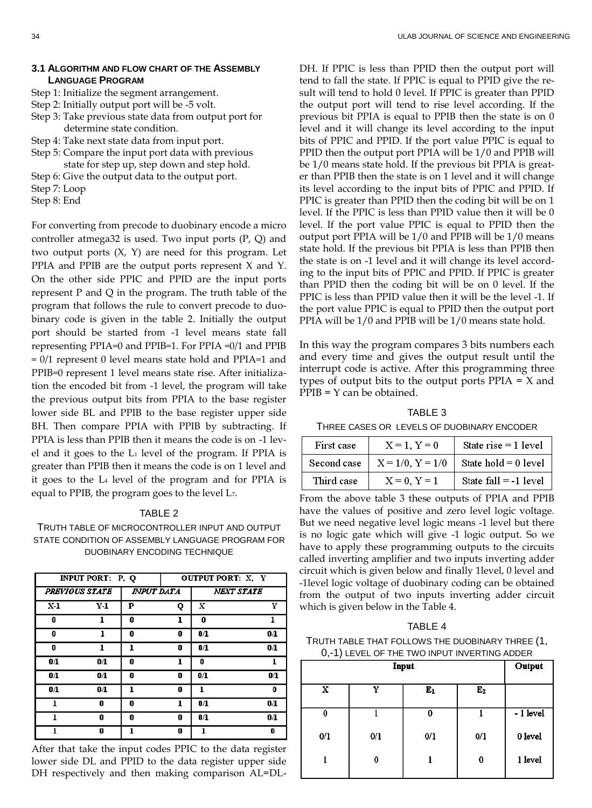#### **3.1 ALGORITHM AND FLOW CHART OF THE ASSEMBLY LANGUAGE PROGRAM**

Step 1: Initialize the segment arrangement.

- Step 2: Initially output port will be -5 volt.
- Step 3: Take previous state data from output port for determine state condition.
- Step 4: Take next state data from input port.
- Step 5: Compare the input port data with previous state for step up, step down and step hold.
- Step 6: Give the output data to the output port.
- Step 7: Loop
- Step 8: End

For converting from precode to duobinary encode a micro controller atmega32 is used. Two input ports (P, Q) and two output ports  $(X, Y)$  are need for this program. Let PPIA and PPIB are the output ports represent X and Y. On the other side PPIC and PPID are the input ports represent P and Q in the program. The truth table of the program that follows the rule to convert precode to duobinary code is given in the table 2. Initially the output port should be started from -1 level means state fall representing PPIA=0 and PPIB=1. For PPIA =0/1 and PPIB = 0/1 represent 0 level means state hold and PPIA=1 and PPIB=0 represent 1 level means state rise. After initialization the encoded bit from -1 level, the program will take the previous output bits from PPIA to the base register lower side BL and PPIB to the base register upper side BH. Then compare PPIA with PPIB by subtracting. If PPIA is less than PPIB then it means the code is on -1 level and it goes to the L<sup>1</sup> level of the program. If PPIA is greater than PPIB then it means the code is on 1 level and it goes to the L<sup>4</sup> level of the program and for PPIA is equal to PPIB, the program goes to the level L7.

#### TABLE 2

## TRUTH TABLE OF MICROCONTROLLER INPUT AND OUTPUT STATE CONDITION OF ASSEMBLY LANGUAGE PROGRAM FOR DUOBINARY ENCODING TECHNIQUE

| INPUT PORT: P, Q                           |                |   | <b>OUTPUT PORT: X, Y</b> |                |                |  |
|--------------------------------------------|----------------|---|--------------------------|----------------|----------------|--|
| <b>PREVIOUS STATE</b><br><b>INPUT DATA</b> |                |   | <b>NEXT STATE</b>        |                |                |  |
| $X-1$                                      | Y-1            | P | Q                        | x              | Y              |  |
| 0                                          | ı              | 0 | ı                        | 0              | ı              |  |
| 0                                          | ı              | 0 | 0                        | 0/1            | 0/1            |  |
| 0                                          | ı              | ı | 0                        | 0/1            | $0/\mathbf{I}$ |  |
| $0/\mathbf{I}$                             | $0/\mathbf{I}$ | 0 | ı                        | 0              | ı              |  |
| 0/1                                        | 0/1            | 0 | 0                        | 0/1            | $0/\mathbf{I}$ |  |
| 0/1                                        | 0/1            | 1 | 0                        | ı              | 0              |  |
| 1                                          | 0              | 0 | ı                        | $0/\mathbf{I}$ | 0/1            |  |
| ı                                          | 0              | 0 | 0                        | 0/1            | 0/1            |  |
| 1                                          | 0              |   | 0                        | ı              | 0              |  |

After that take the input codes PPIC to the data register lower side DL and PPID to the data register upper side DH respectively and then making comparison AL=DL-

DH. If PPIC is less than PPID then the output port will tend to fall the state. If PPIC is equal to PPID give the result will tend to hold 0 level. If PPIC is greater than PPID the output port will tend to rise level according. If the previous bit PPIA is equal to PPIB then the state is on 0 level and it will change its level according to the input bits of PPIC and PPID. If the port value PPIC is equal to PPID then the output port PPIA will be 1/0 and PPIB will be 1/0 means state hold. If the previous bit PPIA is greater than PPIB then the state is on 1 level and it will change its level according to the input bits of PPIC and PPID. If PPIC is greater than PPID then the coding bit will be on 1 level. If the PPIC is less than PPID value then it will be 0 level. If the port value PPIC is equal to PPID then the output port PPIA will be 1/0 and PPIB will be 1/0 means state hold. If the previous bit PPIA is less than PPIB then the state is on -1 level and it will change its level according to the input bits of PPIC and PPID. If PPIC is greater than PPID then the coding bit will be on 0 level. If the PPIC is less than PPID value then it will be the level -1. If the port value PPIC is equal to PPID then the output port PPIA will be 1/0 and PPIB will be 1/0 means state hold.

In this way the program compares 3 bits numbers each and every time and gives the output result until the interrupt code is active. After this programming three types of output bits to the output ports  $PPIA = X$  and PPIB = Y can be obtained.

TABLE 3

THREE CASES OR LEVELS OF DUOBINARY ENCODER

| First case  | $X = 1, Y = 0$     | State rise $=$ 1 level  |
|-------------|--------------------|-------------------------|
| Second case | $X = 1/0, Y = 1/0$ | State $hold = 0$ level  |
| Third case  | $X = 0$ , $Y = 1$  | State $fall = -1$ level |

From the above table 3 these outputs of PPIA and PPIB have the values of positive and zero level logic voltage. But we need negative level logic means -1 level but there is no logic gate which will give -1 logic output. So we have to apply these programming outputs to the circuits called inverting amplifier and two inputs inverting adder circuit which is given below and finally 1level, 0 level and -1level logic voltage of duobinary coding can be obtained from the output of two inputs inverting adder circuit which is given below in the Table 4.

#### TABLE 4

TRUTH TABLE THAT FOLLOWS THE DUOBINARY THREE (1, 0,-1) LEVEL OF THE TWO INPUT INVERTING ADDER

|                  | Input            |                |                |           |
|------------------|------------------|----------------|----------------|-----------|
| X                | v                | $\mathbf{E}_1$ | E <sub>2</sub> |           |
| $\boldsymbol{0}$ | க                | 0              | G              | - 1 level |
| 0/1              | 0/1              | 0/1            | 0/1            | 0 level   |
| 5                | $\boldsymbol{0}$ |                | 0              | 1 level   |
|                  |                  |                |                |           |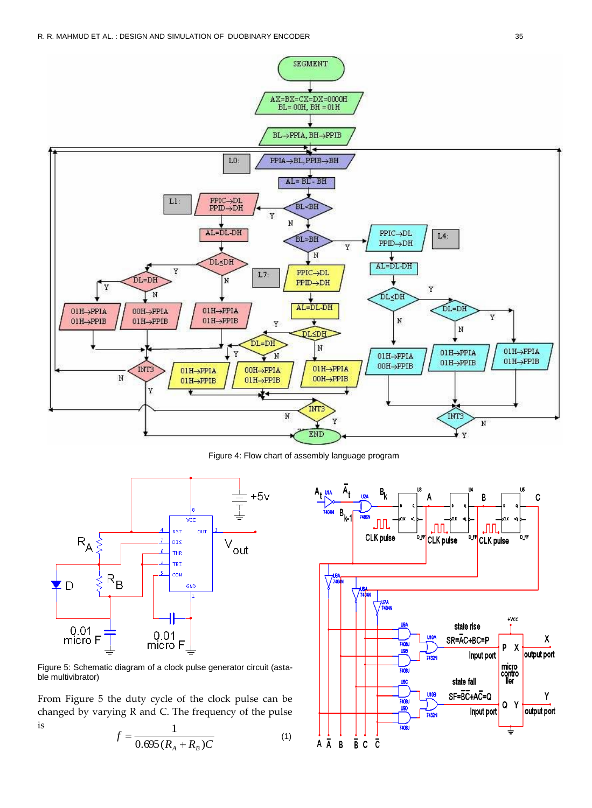

Figure 4: Flow chart of assembly language program



Figure 5: Schematic diagram of a clock pulse generator circuit (astable multivibrator)

From Figure 5 the duty cycle of the clock pulse can be changed by varying R and C. The frequency of the pulse is 1

$$
f = \frac{1}{0.695(R_A + R_B)C}
$$
 (1)